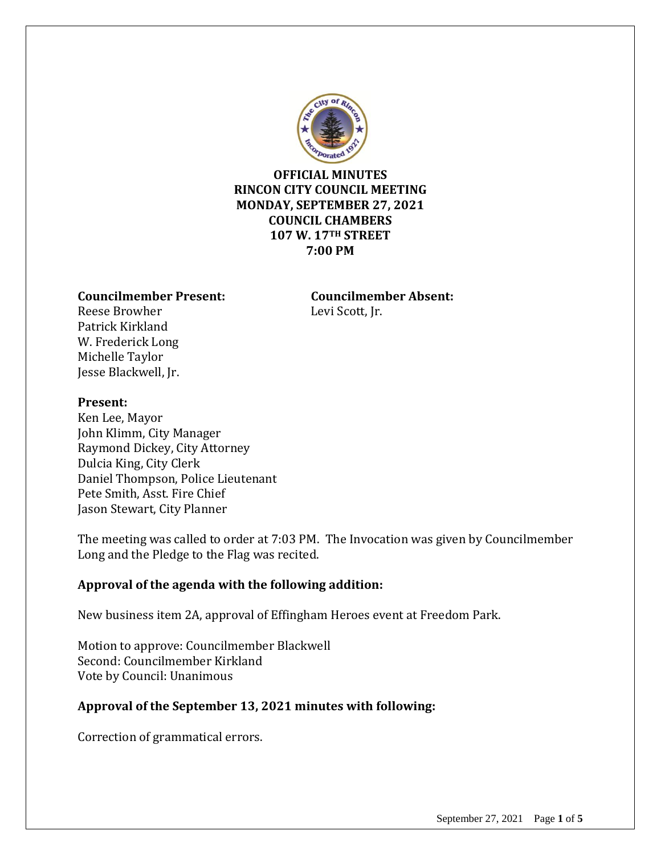

**OFFICIAL MINUTES RINCON CITY COUNCIL MEETING MONDAY, SEPTEMBER 27, 2021 COUNCIL CHAMBERS 107 W. 17TH STREET 7:00 PM**

#### **Councilmember Present: Councilmember Absent:**

Reese Browher Levi Scott, Jr. Patrick Kirkland W. Frederick Long Michelle Taylor Jesse Blackwell, Jr.

#### **Present:**

Ken Lee, Mayor John Klimm, City Manager Raymond Dickey, City Attorney Dulcia King, City Clerk Daniel Thompson, Police Lieutenant Pete Smith, Asst. Fire Chief Jason Stewart, City Planner

The meeting was called to order at 7:03 PM. The Invocation was given by Councilmember Long and the Pledge to the Flag was recited.

#### **Approval of the agenda with the following addition:**

New business item 2A, approval of Effingham Heroes event at Freedom Park.

Motion to approve: Councilmember Blackwell Second: Councilmember Kirkland Vote by Council: Unanimous

#### **Approval of the September 13, 2021 minutes with following:**

Correction of grammatical errors.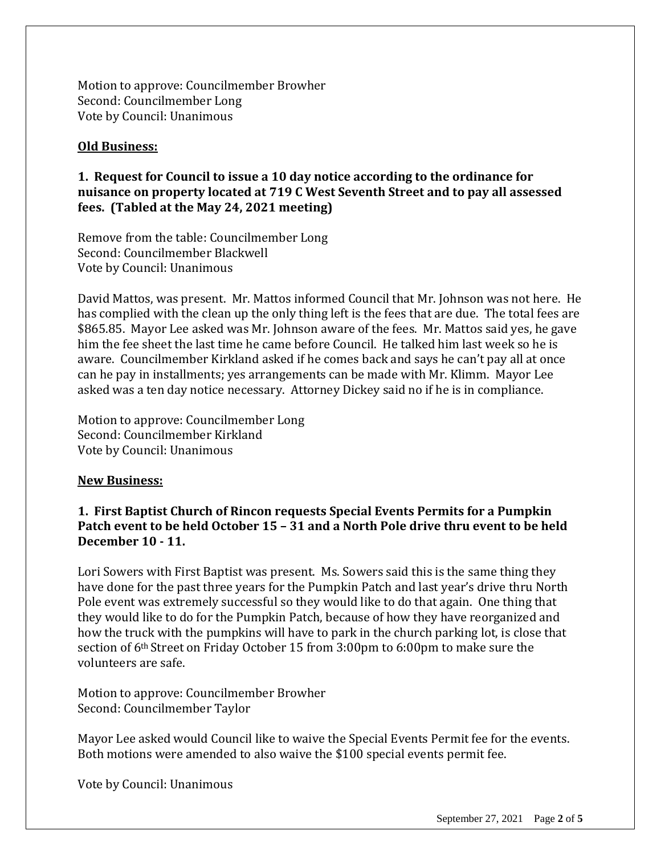Motion to approve: Councilmember Browher Second: Councilmember Long Vote by Council: Unanimous

### **Old Business:**

## **1. Request for Council to issue a 10 day notice according to the ordinance for nuisance on property located at 719 C West Seventh Street and to pay all assessed fees. (Tabled at the May 24, 2021 meeting)**

Remove from the table: Councilmember Long Second: Councilmember Blackwell Vote by Council: Unanimous

David Mattos, was present. Mr. Mattos informed Council that Mr. Johnson was not here. He has complied with the clean up the only thing left is the fees that are due. The total fees are \$865.85. Mayor Lee asked was Mr. Johnson aware of the fees. Mr. Mattos said yes, he gave him the fee sheet the last time he came before Council. He talked him last week so he is aware. Councilmember Kirkland asked if he comes back and says he can't pay all at once can he pay in installments; yes arrangements can be made with Mr. Klimm. Mayor Lee asked was a ten day notice necessary. Attorney Dickey said no if he is in compliance.

Motion to approve: Councilmember Long Second: Councilmember Kirkland Vote by Council: Unanimous

#### **New Business:**

## **1. First Baptist Church of Rincon requests Special Events Permits for a Pumpkin Patch event to be held October 15 – 31 and a North Pole drive thru event to be held December 10 - 11.**

Lori Sowers with First Baptist was present. Ms. Sowers said this is the same thing they have done for the past three years for the Pumpkin Patch and last year's drive thru North Pole event was extremely successful so they would like to do that again. One thing that they would like to do for the Pumpkin Patch, because of how they have reorganized and how the truck with the pumpkins will have to park in the church parking lot, is close that section of 6th Street on Friday October 15 from 3:00pm to 6:00pm to make sure the volunteers are safe.

Motion to approve: Councilmember Browher Second: Councilmember Taylor

Mayor Lee asked would Council like to waive the Special Events Permit fee for the events. Both motions were amended to also waive the \$100 special events permit fee.

Vote by Council: Unanimous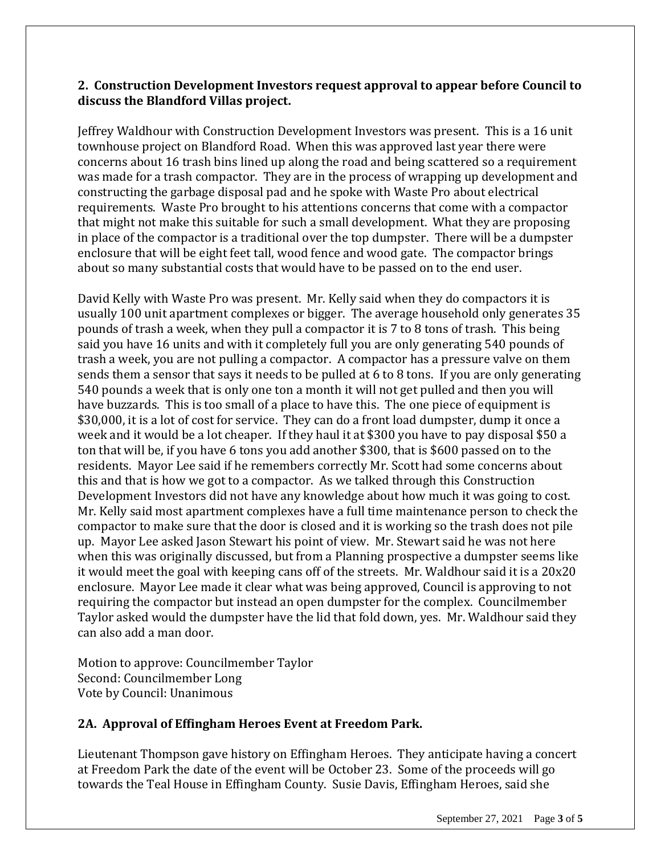# **2. Construction Development Investors request approval to appear before Council to discuss the Blandford Villas project.**

Jeffrey Waldhour with Construction Development Investors was present. This is a 16 unit townhouse project on Blandford Road. When this was approved last year there were concerns about 16 trash bins lined up along the road and being scattered so a requirement was made for a trash compactor. They are in the process of wrapping up development and constructing the garbage disposal pad and he spoke with Waste Pro about electrical requirements. Waste Pro brought to his attentions concerns that come with a compactor that might not make this suitable for such a small development. What they are proposing in place of the compactor is a traditional over the top dumpster. There will be a dumpster enclosure that will be eight feet tall, wood fence and wood gate. The compactor brings about so many substantial costs that would have to be passed on to the end user.

David Kelly with Waste Pro was present. Mr. Kelly said when they do compactors it is usually 100 unit apartment complexes or bigger. The average household only generates 35 pounds of trash a week, when they pull a compactor it is 7 to 8 tons of trash. This being said you have 16 units and with it completely full you are only generating 540 pounds of trash a week, you are not pulling a compactor. A compactor has a pressure valve on them sends them a sensor that says it needs to be pulled at 6 to 8 tons. If you are only generating 540 pounds a week that is only one ton a month it will not get pulled and then you will have buzzards. This is too small of a place to have this. The one piece of equipment is \$30,000, it is a lot of cost for service. They can do a front load dumpster, dump it once a week and it would be a lot cheaper. If they haul it at \$300 you have to pay disposal \$50 a ton that will be, if you have 6 tons you add another \$300, that is \$600 passed on to the residents. Mayor Lee said if he remembers correctly Mr. Scott had some concerns about this and that is how we got to a compactor. As we talked through this Construction Development Investors did not have any knowledge about how much it was going to cost. Mr. Kelly said most apartment complexes have a full time maintenance person to check the compactor to make sure that the door is closed and it is working so the trash does not pile up. Mayor Lee asked Jason Stewart his point of view. Mr. Stewart said he was not here when this was originally discussed, but from a Planning prospective a dumpster seems like it would meet the goal with keeping cans off of the streets. Mr. Waldhour said it is a 20x20 enclosure. Mayor Lee made it clear what was being approved, Council is approving to not requiring the compactor but instead an open dumpster for the complex. Councilmember Taylor asked would the dumpster have the lid that fold down, yes. Mr. Waldhour said they can also add a man door.

Motion to approve: Councilmember Taylor Second: Councilmember Long Vote by Council: Unanimous

## **2A. Approval of Effingham Heroes Event at Freedom Park.**

Lieutenant Thompson gave history on Effingham Heroes. They anticipate having a concert at Freedom Park the date of the event will be October 23. Some of the proceeds will go towards the Teal House in Effingham County. Susie Davis, Effingham Heroes, said she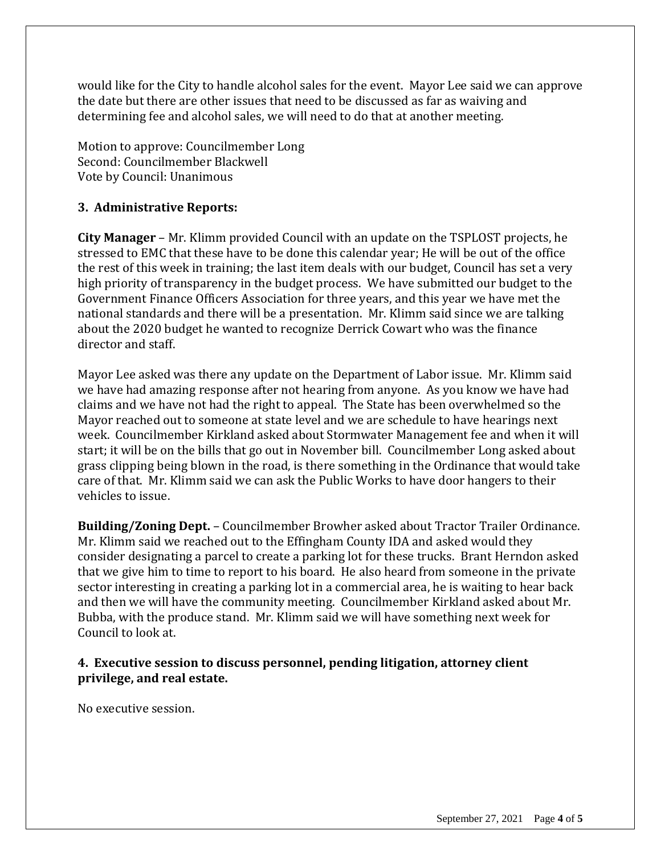would like for the City to handle alcohol sales for the event. Mayor Lee said we can approve the date but there are other issues that need to be discussed as far as waiving and determining fee and alcohol sales, we will need to do that at another meeting.

Motion to approve: Councilmember Long Second: Councilmember Blackwell Vote by Council: Unanimous

# **3. Administrative Reports:**

**City Manager** – Mr. Klimm provided Council with an update on the TSPLOST projects, he stressed to EMC that these have to be done this calendar year; He will be out of the office the rest of this week in training; the last item deals with our budget, Council has set a very high priority of transparency in the budget process. We have submitted our budget to the Government Finance Officers Association for three years, and this year we have met the national standards and there will be a presentation. Mr. Klimm said since we are talking about the 2020 budget he wanted to recognize Derrick Cowart who was the finance director and staff.

Mayor Lee asked was there any update on the Department of Labor issue. Mr. Klimm said we have had amazing response after not hearing from anyone. As you know we have had claims and we have not had the right to appeal. The State has been overwhelmed so the Mayor reached out to someone at state level and we are schedule to have hearings next week. Councilmember Kirkland asked about Stormwater Management fee and when it will start; it will be on the bills that go out in November bill. Councilmember Long asked about grass clipping being blown in the road, is there something in the Ordinance that would take care of that. Mr. Klimm said we can ask the Public Works to have door hangers to their vehicles to issue.

**Building/Zoning Dept.** – Councilmember Browher asked about Tractor Trailer Ordinance. Mr. Klimm said we reached out to the Effingham County IDA and asked would they consider designating a parcel to create a parking lot for these trucks. Brant Herndon asked that we give him to time to report to his board. He also heard from someone in the private sector interesting in creating a parking lot in a commercial area, he is waiting to hear back and then we will have the community meeting. Councilmember Kirkland asked about Mr. Bubba, with the produce stand. Mr. Klimm said we will have something next week for Council to look at.

## **4. Executive session to discuss personnel, pending litigation, attorney client privilege, and real estate.**

No executive session.